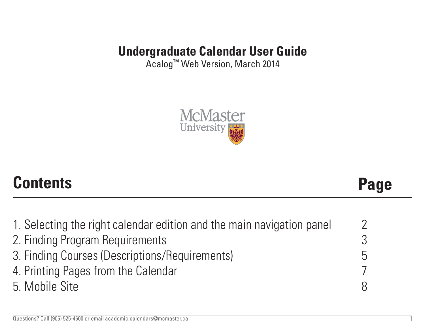# **Undergraduate Calendar User Guide**

Acalog™ Web Version, March 2014



# **Contents Page**

| 1. Selecting the right calendar edition and the main navigation panel | 7 |
|-----------------------------------------------------------------------|---|
| 2. Finding Program Requirements                                       | 3 |
| 3. Finding Courses (Descriptions/Requirements)                        | 5 |
| 4. Printing Pages from the Calendar                                   |   |
| 5. Mobile Site                                                        |   |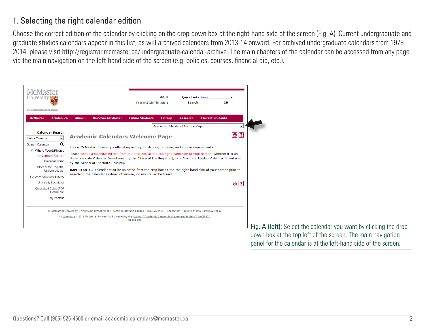## 1. Selecting the right calendar edition

Choose the correct edition of the calendar by clicking on the drop-down box at the right-hand side of the screen (Fig. A). Current undergraduate and graduate studies calendars appear in this list, as will archived calendars from 2013-14 onward. For archived undergraduate calendars from 1978- 2014, please visit http://registrar.mcmaster.ca/undergraduate-calendar-archive. The main chapters of the calendar can be accessed from any page via the main navigation on the left-hand side of the screen (e.g. policies, courses, financial aid, etc.).



Fig. A (left): Select the calendar you want by clicking the dropdown box at the top left of the screen. The main navigation panel for the calendar is at the left-hand side of the screen.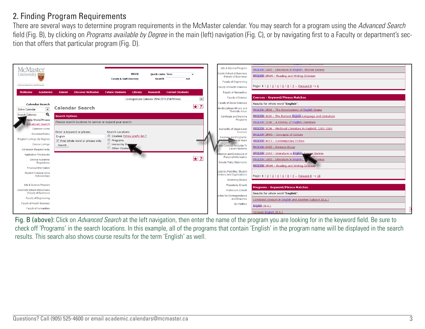#### 2. Finding Program Requirements

There are several ways to determine program requirements in the McMaster calendar. You may search for a program using the *Advanced Search* field (Fig. B), by clicking on *Programs available by Degree* in the main (left) navigation (Fig. C), or by navigating first to a Faculty or department's section that offers that particular program (Fig. D).

| <b>McMaster</b><br>University                        |                                                          | <b>MUGSI</b><br><b>Faculty &amp; Staff Directory</b>   | <b>Quick Links Select</b><br>$\overline{\phantom{a}}$<br>GO.<br><b>Search</b> |                          | Arts & Science Program<br><b>Groote School of Business</b><br>(Faculty of Business) | ENGLISH 1A03 - Literature in English: Shorter Genres<br><b>ENGLISH 2RW6 - Reading and Writing Criticism</b> |  |
|------------------------------------------------------|----------------------------------------------------------|--------------------------------------------------------|-------------------------------------------------------------------------------|--------------------------|-------------------------------------------------------------------------------------|-------------------------------------------------------------------------------------------------------------|--|
| Inspiring Innovation and Discovery                   |                                                          |                                                        |                                                                               |                          | <b>Faculty of Engineering</b><br>Faculty of Health Sciences                         | Page: 1   2   3   4   5   6   7  Forward 6 -> 8                                                             |  |
| <b>McMaster</b><br><b>Academics</b>                  | Alumni<br><b>Discover McMaster</b>                       | <b>Future Students</b><br>Library                      | <b>Current Students</b><br><b>Research</b>                                    |                          | <b>Faculty of Humanities</b>                                                        |                                                                                                             |  |
|                                                      |                                                          |                                                        | Undergraduate Calendar 2014-2015 (Fall/Winter)                                | $\overline{\phantom{a}}$ | <b>Faculty of Science</b>                                                           | <b>Courses - Keyword/Phrase Matches</b>                                                                     |  |
| <b>Calendar Search</b>                               |                                                          |                                                        |                                                                               |                          | <b>Faculty of Social Sciences</b>                                                   | Results for whole word "English".                                                                           |  |
| $\overline{\phantom{a}}$<br><b>Entire Calendar</b>   | <b>Calendar Search</b>                                   |                                                        |                                                                               | $\star$ ?                | nterdisciplinary Minors and<br><b>Thematic Areas</b>                                | ENGLISH 2B06 - The Development of English Drama                                                             |  |
| $\alpha$<br>Search Calendar                          | <b>Search Options</b>                                    |                                                        |                                                                               |                          | <b>Certificate and Diploma</b>                                                      | ENGLISH 3L06 - The Earliest English Language and Literature                                                 |  |
| hole Word/Phrase<br><b>Advanced Search</b>           | Choose search locations to narrow or expand your search. |                                                        |                                                                               |                          | Programs                                                                            | ENGLISH 1C06 - A History of English Literature                                                              |  |
| Calendar Home                                        |                                                          |                                                        |                                                                               |                          | Availability of Upper-Level                                                         | ENGLISH 3C06 - Medieval Literature in England, 1200-1500                                                    |  |
| <b>Sessional Dates</b>                               | Enter a keyword or phrase.<br>English                    | <b>Search Locations</b><br>Courses [Show prefix list.] |                                                                               |                          | Courses                                                                             | ENGLISH 2M06 - Concepts of Culture                                                                          |  |
| Program Listings (by Degree)                         | Find whole word or phrase only.                          | $\triangledown$ Programs                               |                                                                               |                          | Degrees and Programs:<br>ton in Years                                               | <b>ENGLISH 4CF3 - Contemporary Fiction</b>                                                                  |  |
| <b>Course Listings</b>                               | Search                                                   | Hierarchy Ites<br>Other Conten                         |                                                                               |                          | ctive Courses Available To                                                          | ENGLISH 4X03 - Honours Essav                                                                                |  |
| <b>Admission Requirements</b>                        |                                                          |                                                        |                                                                               |                          | <b>Level I Students</b>                                                             | ENGLISH 1AA3 - Literature in English: Longer Genres                                                         |  |
| <b>Application Procedures</b>                        |                                                          |                                                        |                                                                               | $\star$ ?                | llection and Disclosure of<br><b>Personal Information</b>                           | ENGLISH 1A03 - Literature in English:                                                                       |  |
| General Academic<br>Regulations                      |                                                          |                                                        |                                                                               |                          | <b>Senate Policy Statements</b>                                                     | Genres                                                                                                      |  |
| <b>Financial Information</b>                         |                                                          |                                                        |                                                                               |                          |                                                                                     | ENGLISH 2RW6 - Reading and Writing Criticism                                                                |  |
| Student Financial Aid &<br>Scholarships              |                                                          |                                                        |                                                                               |                          | cademic Facilities, Student<br>services and Organizations                           | Page: 1   2   3   4   5   6   7  Forward 6 -> 18                                                            |  |
|                                                      |                                                          |                                                        |                                                                               |                          | <b>Governing Bodies</b>                                                             |                                                                                                             |  |
| Arts & Science Program                               |                                                          |                                                        |                                                                               |                          | <b>Presidents Emeriti</b>                                                           | <b>Programs - Keyword/Phrase Matches</b>                                                                    |  |
| DeGroote School of Business<br>(Faculty of Business) |                                                          |                                                        |                                                                               |                          | <b>Professors Emeriti</b>                                                           | Results for whole word "English".                                                                           |  |
| <b>Faculty of Engineering</b>                        |                                                          |                                                        |                                                                               |                          | ectory for Correspondence<br>and Enquiries                                          | Combined Honours in English and Another Subject (B.A.)                                                      |  |
| Faculty of Health Sciences                           |                                                          |                                                        |                                                                               |                          | <b>My Portfolio</b>                                                                 | English (B.A.)                                                                                              |  |
| <b>Faculty of Humanities</b>                         |                                                          |                                                        |                                                                               |                          |                                                                                     |                                                                                                             |  |
| Foculty of Science                                   |                                                          |                                                        |                                                                               |                          |                                                                                     | Honours English (B.A.)                                                                                      |  |

Fig. B (above): Click on *Advanced Search* at the left navigation, then enter the name of the program you are looking for in the keyword field. Be sure to check off 'Programs' in the search locations. In this example, all of the programs that contain 'English' in the program name will be displayed in the search results. This search also shows course results for the term 'English' as well.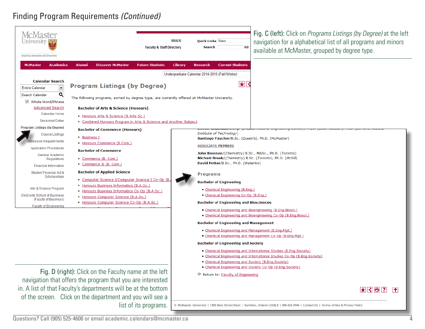#### Finding Program Requirements *(Continued)*

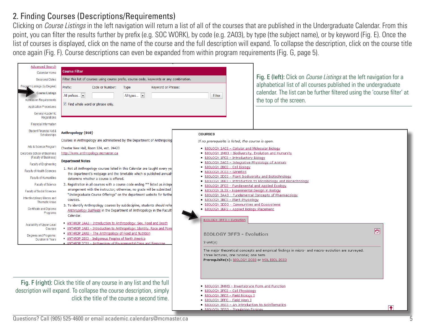#### 2. Finding Courses (Descriptions/Requirements)

Clicking on *Course Listings* in the left navigation will return a list of all of the courses that are published in the Undergraduate Calendar. From this point, you can filter the results further by prefix (e.g. SOC WORK), by code (e.g. 2A03), by type (the subject name), or by keyword (Fig. E). Once the list of courses is displayed, click on the name of the course and the full description will expand. To collapse the description, click on the course title once again (Fig. F). Course descriptions can even be expanded from within program requirements (Fig. G, page 5).

| <b>Advanced Search</b><br>Calendar Home<br><b>Sessional Dates</b><br>Program Listings (by Degree)<br><b>Course Listings</b><br><b>Admission Requirements</b><br><b>Application Procedures</b><br>General Academic<br>Regulations<br><b>Financial Information</b>                                                                                                                                                                                                                          | <b>Course Filter</b><br>Filter this list of courses using course prefix, course code, keywords or any combination.<br>Prefix:<br>Keyword or Phrase:<br>Code or Number:<br>Type<br>All types<br>All prefixes<br>$\blacksquare$ Find whole word or phrase only.                                                                                                                                                                                                                                                                                                                                                                                                                                                                                                                                                                                                                                                                                                                                                                                                                                                                                                                                                                                                                                                                                                               | <b>Filter</b>                                                                                                                                                                                                                                                                                                                                                                                                                                                                                                                                                                                                                                                                                                                                                                                                                                                                                                                                                                                                | Fig. E (left): Click on <i>Course Listings</i> at the left navigation for a<br>alphabetical list of all courses published in the undergraduate<br>calendar. The list can be further filtered using the 'course filter' at<br>the top of the screen. |
|-------------------------------------------------------------------------------------------------------------------------------------------------------------------------------------------------------------------------------------------------------------------------------------------------------------------------------------------------------------------------------------------------------------------------------------------------------------------------------------------|-----------------------------------------------------------------------------------------------------------------------------------------------------------------------------------------------------------------------------------------------------------------------------------------------------------------------------------------------------------------------------------------------------------------------------------------------------------------------------------------------------------------------------------------------------------------------------------------------------------------------------------------------------------------------------------------------------------------------------------------------------------------------------------------------------------------------------------------------------------------------------------------------------------------------------------------------------------------------------------------------------------------------------------------------------------------------------------------------------------------------------------------------------------------------------------------------------------------------------------------------------------------------------------------------------------------------------------------------------------------------------|--------------------------------------------------------------------------------------------------------------------------------------------------------------------------------------------------------------------------------------------------------------------------------------------------------------------------------------------------------------------------------------------------------------------------------------------------------------------------------------------------------------------------------------------------------------------------------------------------------------------------------------------------------------------------------------------------------------------------------------------------------------------------------------------------------------------------------------------------------------------------------------------------------------------------------------------------------------------------------------------------------------|-----------------------------------------------------------------------------------------------------------------------------------------------------------------------------------------------------------------------------------------------------|
| Student Financial Aid &<br>Scholarships<br>Arts & Science Program<br>DeGroote School of Business<br>(Faculty of Business)<br><b>Faculty of Engineering</b><br>Faculty of Health Sciences<br><b>Faculty of Humanities</b><br><b>Faculty of Science</b><br><b>Faculty of Social Sciences</b><br>Interdisciplinary Minors and<br><b>Thematic Areas</b><br>Certificate and Diploma<br>Programs<br>Availability of Upper-Level<br>Courses<br>Degrees and Programs:<br><b>Duration in Years</b> | Anthropology {010}<br>Courses in Anthropology are administered by the Department of Anthropolog<br>Chester New Hall, Room 524, ext. 24423<br>http://www.anthropology.mcmaster.ca<br><b>Department Notes</b><br>1. Not all Anthropology courses listed in this Calendar are taught every ye<br>the department's webpage and the timetable which is published annually<br>determine whether a course is offered.<br>2. Registration in all courses with a course code ending ** listed as indepe<br>arrangement with the instructor; otherwise, no grade will be submitted<br>"Undergraduate Course Offerings" on the department website for furthe<br>courses.<br>3. To identify Anthropology courses by subdiscipline, students should refer<br>Anthropology Subfields in the Department of Anthropology in the Facult<br>Calendar.<br>• ANTHROP 1AA3 - Introduction to Anthropology: Sex, Food and Death<br>• ANTHROP 1AB3 - Introduction to Anthropology: Identity, Race and Pow<br>• ANTHROP 2AN3 - The Anthropology of Food and Nutrition<br>• ANTHROP 2B03 - Indigenous Peoples of North America<br>• ANTHROP 2C03 - Archaeology of Environmental Crisis and Response<br>Fig. F (right): Click the title of any course in any list and the full<br>description will expand. To collapse the course description, simply<br>click the title of the course a second time. | <b>COURSES</b><br>If no prerequisite is listed, the course is open.<br>. BIOLOGY 1A03 - Cellular and Molecular Biology<br>. BIOLOGY 1M03 - Biodiversity, Evolution and Humanity<br>· BIOLOGY 1P03 - Introductory Biology<br>. BIOLOGY 2A03 - Integrative Physiology of Animals<br>· BIOLOGY 2B03 - Cell Biology<br>· BIOLOGY 2C03 - Genetics<br>. BIOLOGY 2D03 - Plant Biodiversity and Biotechnology<br>. BIOLOGY 2F03 - Fundamental and Applied Ecology<br>· BIOLOGY 2L03 - Experimental Design in Biology<br>. BIOLOGY 3AA3 - Fundamental Concepts of Pharmacology<br>. BIOLOGY 3B03 - Plant Physiology<br>. BIOLOGY 3DD3 - Communities and Ecosystems<br>. BIOLOGY 3EP3 - Applied Biology Placement<br>BIOLOGY 3FF3 - Evolution<br><b>BIOLOGY 3FF3 - Evolution</b><br>$3$ unit(s)<br>Three lectures, one tutorial; one term<br>Prerequisite(s): BIOLOGY 2C03 or MOL BIOL 2C03<br>. BIOLOGY 3MM3 - Invertebrate Form and Function<br>· BIOLOGY 3P03 - Cell Physiology<br>· BIOLOGY 3R03 - Field Biology I | . BIOLOGY 2EE3 - Introduction to Microbiology and Biotechnology<br>同<br>The major theoretical concepts and empirical findings in micro- and macro-evolution are surveyed.                                                                           |
|                                                                                                                                                                                                                                                                                                                                                                                                                                                                                           | $0.0 \times 11/005$ FOE 1000<br>⌒                                                                                                                                                                                                                                                                                                                                                                                                                                                                                                                                                                                                                                                                                                                                                                                                                                                                                                                                                                                                                                                                                                                                                                                                                                                                                                                                           | · BIOLOGY 3RF0 - Field Work I<br>. BIOLOGY 3S03 - An Introduction to Bioinformatics<br>. BIOLOGY 3SS3 - Population Ecolog                                                                                                                                                                                                                                                                                                                                                                                                                                                                                                                                                                                                                                                                                                                                                                                                                                                                                    | l <b>t</b>                                                                                                                                                                                                                                          |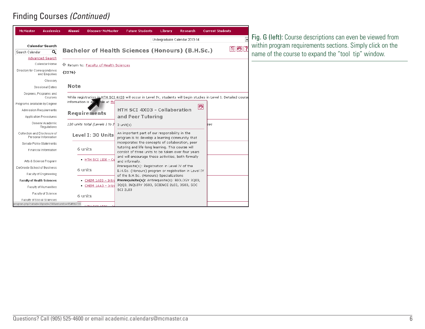#### Finding Courses *(Continued)*

| <b>McMaster</b>                                      | <b>Academics</b> | Alumni               | <b>Discover McMaster</b>                | <b>Future Students</b>                                                                                  | Library                                          | <b>Research</b>                | <b>Current Students</b>                                                                                            |  |  |
|------------------------------------------------------|------------------|----------------------|-----------------------------------------|---------------------------------------------------------------------------------------------------------|--------------------------------------------------|--------------------------------|--------------------------------------------------------------------------------------------------------------------|--|--|
|                                                      |                  |                      |                                         |                                                                                                         |                                                  | Undergraduate Calendar 2013-14 |                                                                                                                    |  |  |
| Calendar Search                                      |                  |                      |                                         |                                                                                                         |                                                  |                                |                                                                                                                    |  |  |
| Search Calendar                                      | Q                |                      |                                         | <b>Bachelor of Health Sciences (Honours) (B.H.Sc.)</b>                                                  |                                                  |                                |                                                                                                                    |  |  |
| <b>Advanced Search</b>                               |                  |                      |                                         |                                                                                                         |                                                  |                                |                                                                                                                    |  |  |
| Calendar Home                                        |                  |                      | ← Return to: Faculty of Health Sciences |                                                                                                         |                                                  |                                |                                                                                                                    |  |  |
| Directory for Correspondence<br>and Enquiries        |                  | ${2276}$             |                                         |                                                                                                         |                                                  |                                |                                                                                                                    |  |  |
|                                                      | Glossary         |                      |                                         |                                                                                                         |                                                  |                                |                                                                                                                    |  |  |
| <b>Sessional Dates</b>                               |                  | Note                 |                                         |                                                                                                         |                                                  |                                |                                                                                                                    |  |  |
| Degrees, Programs and                                | Courses          |                      |                                         |                                                                                                         |                                                  |                                | While registration in HTH SCI 4X03 will occur in Level IV, students will begin studies in Level I. Detailed course |  |  |
| Programs available by Degree                         |                  | information is $a$ . | ble at fhs                              |                                                                                                         |                                                  |                                | ō                                                                                                                  |  |  |
| <b>Admission Requirements</b>                        |                  |                      | <b>Requirements</b>                     | HTH SCI 4X03 - Collaboration                                                                            |                                                  |                                |                                                                                                                    |  |  |
| <b>Application Procedures</b>                        |                  |                      |                                         | and Peer Tutoring                                                                                       |                                                  |                                |                                                                                                                    |  |  |
| General Academic<br>Regulations                      |                  |                      | 120 units total (Levels 1 to 1          | $3$ unit(s)                                                                                             |                                                  |                                | lses                                                                                                               |  |  |
| Collection and Disclosure of<br>Personal Information |                  |                      | Level I: 30 Units                       | An important part of our responsibility in the<br>program is to develop a learning community that       |                                                  |                                |                                                                                                                    |  |  |
| Senate Policy Statements                             |                  |                      |                                         |                                                                                                         | incorporates the concepts of collaboration, peer |                                |                                                                                                                    |  |  |
| Financial Information                                |                  |                      | 6 units                                 | tutoring and life-long learning. This course will<br>consist of three units to be taken over four years |                                                  |                                |                                                                                                                    |  |  |
| Arts & Science Program                               |                  |                      | • HTH SCI 1I06 - Ce                     | and will encourage these activities, both formally<br>and informally.                                   |                                                  |                                |                                                                                                                    |  |  |
| DeGroote School of Business                          |                  |                      | 6 units                                 | Prerequisite(s): Registration in Level IV of the                                                        |                                                  |                                |                                                                                                                    |  |  |
| Faculty of Engineering                               |                  |                      |                                         | B.H.Sc. (Honours) program or registration in Level IV<br>of the B.H.Sc. (Honours) Specializations       |                                                  |                                |                                                                                                                    |  |  |
| <b>Faculty of Health Sciences</b>                    |                  |                      | • CHEM 1A03 - Intrd                     | Prerequisite(s): Antirequisite(s): BIOLOGY 3Q03,                                                        |                                                  |                                |                                                                                                                    |  |  |
| Faculty of Humanities                                |                  |                      | • CHEM 1AA3 - Intri                     | 3QQ3, INQUIRY 3S03, SCIENCE 2L03, 3S03, SOC<br><b>SCI 2L03</b>                                          |                                                  |                                |                                                                                                                    |  |  |
| Faculty of Science                                   |                  |                      | 6 units                                 |                                                                                                         |                                                  |                                |                                                                                                                    |  |  |
| Faculty of Social Sciences                           |                  |                      |                                         |                                                                                                         |                                                  |                                |                                                                                                                    |  |  |
| program.php?catoid=1&poid=298&returnto=95#tt6739     |                  |                      |                                         |                                                                                                         |                                                  |                                |                                                                                                                    |  |  |

Fig. G (left): Course descriptions can even be viewed from within program requirements sections. Simply click on the name of the course to expand the "tool tip" window.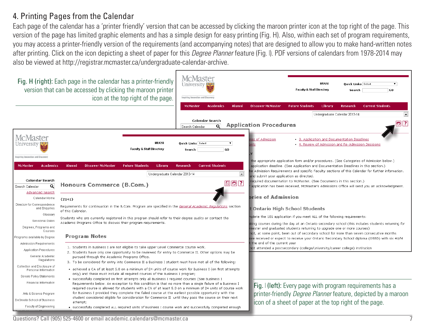#### 4. Printing Pages from the Calendar

Each page of the calendar has a 'printer friendly' version that can be accessed by clicking the maroon printer icon at the top right of the page. This version of the page has limited graphic elements and has a simple design for easy printing (Fig. H). Also, within each set of program requirements, you may access a printer-friendly version of the requirements (and accompanying notes) that are designed to allow you to make hand-written notes after printing. Click on the icon depicting a sheet of paper for this *Degree Planner* feature (Fig. I). PDF versions of calendars from 1978-2014 may also be viewed at http://registrar.mcmaster.ca/undergraduate-calendar-archive.